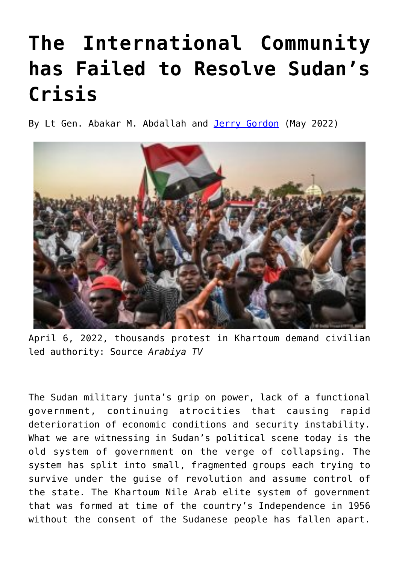## **[The International Community](https://www.newenglishreview.org/articles/the-international-community-has-failed-to-resolve-sudans-crisis/) [has Failed to Resolve Sudan's](https://www.newenglishreview.org/articles/the-international-community-has-failed-to-resolve-sudans-crisis/) [Crisis](https://www.newenglishreview.org/articles/the-international-community-has-failed-to-resolve-sudans-crisis/)**

By Lt Gen. Abakar M. Abdallah and [Jerry Gordon](https://www.newenglishreview.org/authors/jerry-gordon/?) (May 2022)



April 6, 2022, thousands protest in Khartoum demand civilian led authority: Source *Arabiya TV*

The Sudan military junta's grip on power, lack of a functional government, continuing atrocities that causing rapid deterioration of economic conditions and security instability. What we are witnessing in Sudan's political scene today is the old system of government on the verge of collapsing. The system has split into small, fragmented groups each trying to survive under the guise of revolution and assume control of the state. The Khartoum Nile Arab elite system of government that was formed at time of the country's Independence in 1956 without the consent of the Sudanese people has fallen apart.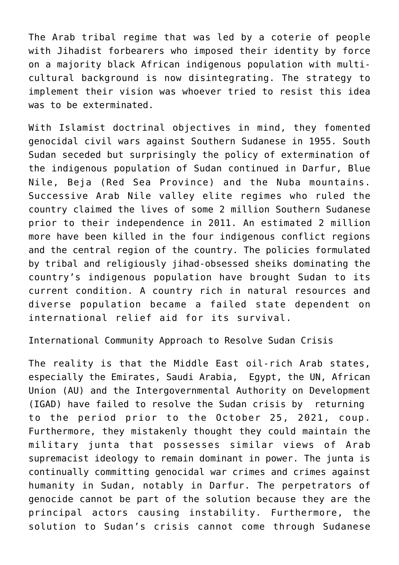The Arab tribal regime that was led by a coterie of people with Jihadist forbearers who imposed their identity by force on a majority black African indigenous population with multicultural background is now disintegrating. The strategy to implement their vision was whoever tried to resist this idea was to be exterminated.

With Islamist doctrinal objectives in mind, they fomented genocidal civil wars against Southern Sudanese in 1955. South Sudan seceded but surprisingly the policy of extermination of the indigenous population of Sudan continued in Darfur, Blue Nile, Beja (Red Sea Province) and the Nuba mountains. Successive Arab Nile valley elite regimes who ruled the country claimed the lives of some 2 million Southern Sudanese prior to their independence in 2011. An estimated 2 million more have been killed in the four indigenous conflict regions and the central region of the country. The policies formulated by tribal and religiously jihad-obsessed sheiks dominating the country's indigenous population have brought Sudan to its current condition. A country rich in natural resources and diverse population became a failed state dependent on international relief aid for its survival.

International Community Approach to Resolve Sudan Crisis

The reality is that the Middle East oil-rich Arab states, especially the Emirates, Saudi Arabia, Egypt, the UN, African Union (AU) and the Intergovernmental Authority on Development (IGAD) have failed to resolve the Sudan crisis by returning to the period prior to the October 25, 2021, coup. Furthermore, they mistakenly thought they could maintain the military junta that possesses similar views of Arab supremacist ideology to remain dominant in power. The junta is continually committing genocidal war crimes and crimes against humanity in Sudan, notably in Darfur. The perpetrators of genocide cannot be part of the solution because they are the principal actors causing instability. Furthermore, the solution to Sudan's crisis cannot come through Sudanese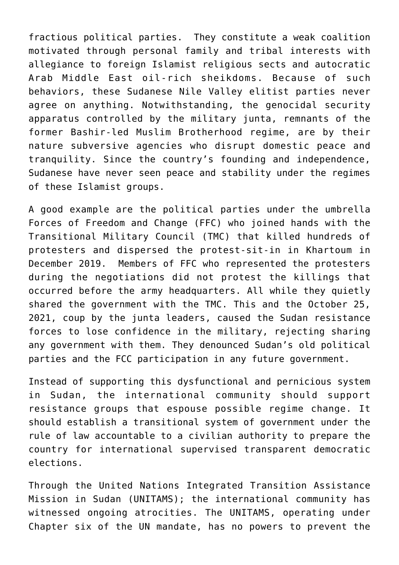fractious political parties. They constitute a weak coalition motivated through personal family and tribal interests with allegiance to foreign Islamist religious sects and autocratic Arab Middle East oil-rich sheikdoms. Because of such behaviors, these Sudanese Nile Valley elitist parties never agree on anything. Notwithstanding, the genocidal security apparatus controlled by the military junta, remnants of the former Bashir-led Muslim Brotherhood regime, are by their nature subversive agencies who disrupt domestic peace and tranquility. Since the country's founding and independence, Sudanese have never seen peace and stability under the regimes of these Islamist groups.

A good example are the political parties under the umbrella Forces of Freedom and Change (FFC) who joined hands with the Transitional Military Council (TMC) that killed hundreds of protesters and dispersed the protest-sit-in in Khartoum in December 2019. Members of FFC who represented the protesters during the negotiations did not protest the killings that occurred before the army headquarters. All while they quietly shared the government with the TMC. This and the October 25, 2021, coup by the junta leaders, caused the Sudan resistance forces to lose confidence in the military, rejecting sharing any government with them. They denounced Sudan's old political parties and the FCC participation in any future government.

Instead of supporting this dysfunctional and pernicious system in Sudan, the international community should support resistance groups that espouse possible regime change. It should establish a transitional system of government under the rule of law accountable to a civilian authority to prepare the country for international supervised transparent democratic elections.

Through the United Nations Integrated Transition Assistance Mission in Sudan (UNITAMS); the international community has witnessed ongoing atrocities. The UNITAMS, operating under Chapter six of the UN mandate, has no powers to prevent the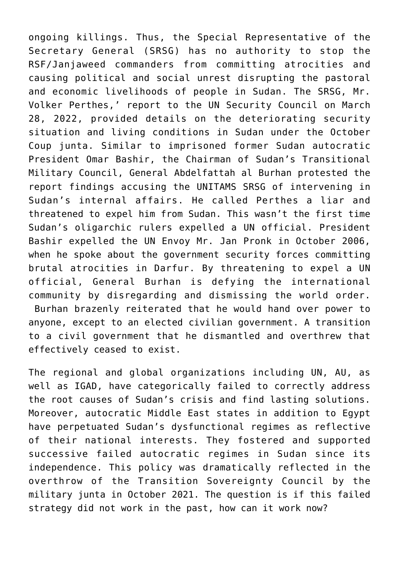ongoing killings. Thus, the Special Representative of the Secretary General (SRSG) has no authority to stop the RSF/Janjaweed commanders from committing atrocities and causing political and social unrest disrupting the pastoral and economic livelihoods of people in Sudan. The SRSG, Mr. Volker Perthes,' report to the UN Security Council on March 28, 2022, provided details on the deteriorating security situation and living conditions in Sudan under the October Coup junta. Similar to imprisoned former Sudan autocratic President Omar Bashir, the Chairman of Sudan's Transitional Military Council, General Abdelfattah al Burhan protested the report findings accusing the UNITAMS SRSG of intervening in Sudan's internal affairs. He called Perthes a liar and threatened to expel him from Sudan. This wasn't the first time Sudan's oligarchic rulers expelled a UN official. President Bashir expelled the UN Envoy Mr. Jan Pronk in October 2006, when he spoke about the government security forces committing brutal atrocities in Darfur. By threatening to expel a UN official, General Burhan is defying the international community by disregarding and dismissing the world order. Burhan brazenly reiterated that he would hand over power to anyone, except to an elected civilian government. A transition to a civil government that he dismantled and overthrew that effectively ceased to exist.

The regional and global organizations including UN, AU, as well as IGAD, have categorically failed to correctly address the root causes of Sudan's crisis and find lasting solutions. Moreover, autocratic Middle East states in addition to Egypt have perpetuated Sudan's dysfunctional regimes as reflective of their national interests. They fostered and supported successive failed autocratic regimes in Sudan since its independence. This policy was dramatically reflected in the overthrow of the Transition Sovereignty Council by the military junta in October 2021. The question is if this failed strategy did not work in the past, how can it work now?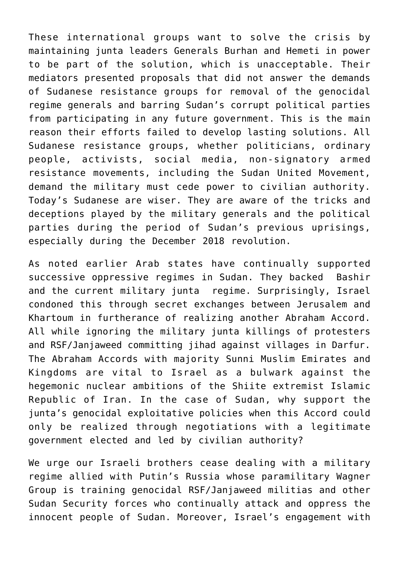These international groups want to solve the crisis by maintaining junta leaders Generals Burhan and Hemeti in power to be part of the solution, which is unacceptable. Their mediators presented proposals that did not answer the demands of Sudanese resistance groups for removal of the genocidal regime generals and barring Sudan's corrupt political parties from participating in any future government. This is the main reason their efforts failed to develop lasting solutions. All Sudanese resistance groups, whether politicians, ordinary people, activists, social media, non-signatory armed resistance movements, including the Sudan United Movement, demand the military must cede power to civilian authority. Today's Sudanese are wiser. They are aware of the tricks and deceptions played by the military generals and the political parties during the period of Sudan's previous uprisings, especially during the December 2018 revolution.

As noted earlier Arab states have continually supported successive oppressive regimes in Sudan. They backed Bashir and the current military junta regime. Surprisingly, Israel condoned this through secret exchanges between Jerusalem and Khartoum in furtherance of realizing another Abraham Accord. All while ignoring the military junta killings of protesters and RSF/Janjaweed committing jihad against villages in Darfur. The Abraham Accords with majority Sunni Muslim Emirates and Kingdoms are vital to Israel as a bulwark against the hegemonic nuclear ambitions of the Shiite extremist Islamic Republic of Iran. In the case of Sudan, why support the junta's genocidal exploitative policies when this Accord could only be realized through negotiations with a legitimate government elected and led by civilian authority?

We urge our Israeli brothers cease dealing with a military regime allied with Putin's Russia whose paramilitary Wagner Group is training genocidal RSF/Janjaweed militias and other Sudan Security forces who continually attack and oppress the innocent people of Sudan. Moreover, Israel's engagement with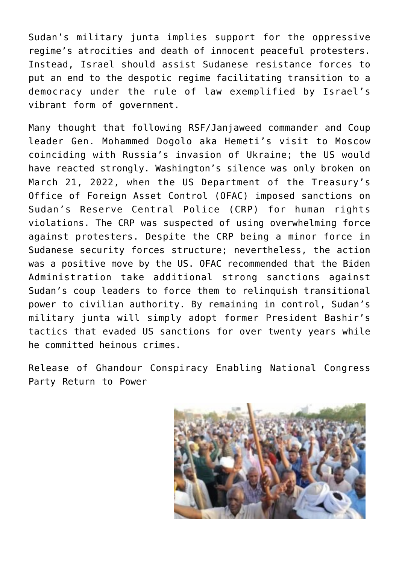Sudan's military junta implies support for the oppressive regime's atrocities and death of innocent peaceful protesters. Instead, Israel should assist Sudanese resistance forces to put an end to the despotic regime facilitating transition to a democracy under the rule of law exemplified by Israel's vibrant form of government.

Many thought that following RSF/Janjaweed commander and Coup leader Gen. Mohammed Dogolo aka Hemeti's visit to Moscow coinciding with Russia's invasion of Ukraine; the US would have reacted strongly. Washington's silence was only broken on March 21, 2022, when the US Department of the Treasury's Office of Foreign Asset Control (OFAC) imposed sanctions on Sudan's Reserve Central Police (CRP) for human rights violations. The CRP was suspected of using overwhelming force against protesters. Despite the CRP being a minor force in Sudanese security forces structure; nevertheless, the action was a positive move by the US. OFAC recommended that the Biden Administration take additional strong sanctions against Sudan's coup leaders to force them to relinquish transitional power to civilian authority. By remaining in control, Sudan's military junta will simply adopt former President Bashir's tactics that evaded US sanctions for over twenty years while he committed heinous crimes.

Release of Ghandour Conspiracy Enabling National Congress Party Return to Power

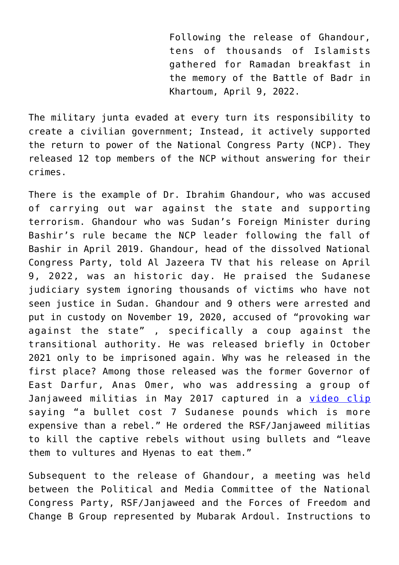Following the release of Ghandour, tens of thousands of Islamists gathered for Ramadan breakfast in the memory of the Battle of Badr in Khartoum, April 9, 2022.

The military junta evaded at every turn its responsibility to create a civilian government; Instead, it actively supported the return to power of the National Congress Party (NCP). They released 12 top members of the NCP without answering for their crimes.

There is the example of Dr. Ibrahim Ghandour, who was accused of carrying out war against the state and supporting terrorism. Ghandour who was Sudan's Foreign Minister during Bashir's rule became the NCP leader following the fall of Bashir in April 2019. Ghandour, head of the dissolved National Congress Party, told Al Jazeera TV that his release on April 9, 2022, was an historic day. He praised the Sudanese judiciary system ignoring thousands of victims who have not seen justice in Sudan. Ghandour and 9 others were arrested and put in custody on November 19, 2020, accused of "provoking war against the state" , specifically a coup against the transitional authority. He was released briefly in October 2021 only to be imprisoned again. Why was he released in the first place? Among those released was the former Governor of East Darfur, Anas Omer, who was addressing a group of Janjaweed militias in May 2017 captured in a [video clip](https://www.youtube.com/watch?v=ctEFS22k9WM) saying "a bullet cost 7 Sudanese pounds which is more expensive than a rebel." He ordered the RSF/Janjaweed militias to kill the captive rebels without using bullets and "leave them to vultures and Hyenas to eat them."

Subsequent to the release of Ghandour, a meeting was held between the Political and Media Committee of the National Congress Party, RSF/Janjaweed and the Forces of Freedom and Change B Group represented by Mubarak Ardoul. Instructions to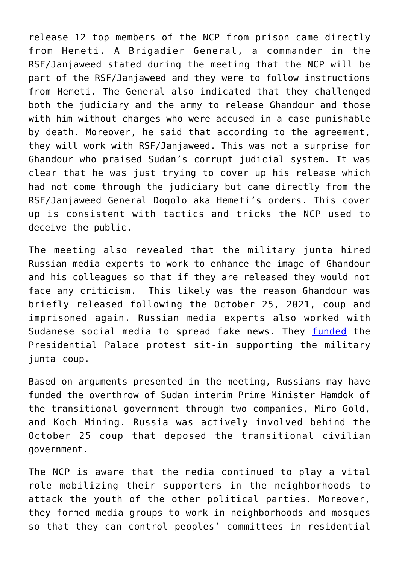release 12 top members of the NCP from prison came directly from Hemeti. A Brigadier General, a commander in the RSF/Janjaweed stated during the meeting that the NCP will be part of the RSF/Janjaweed and they were to follow instructions from Hemeti. The General also indicated that they challenged both the judiciary and the army to release Ghandour and those with him without charges who were accused in a case punishable by death. Moreover, he said that according to the agreement, they will work with RSF/Janjaweed. This was not a surprise for Ghandour who praised Sudan's corrupt judicial system. It was clear that he was just trying to cover up his release which had not come through the judiciary but came directly from the RSF/Janjaweed General Dogolo aka Hemeti's orders. This cover up is consistent with tactics and tricks the NCP used to deceive the public.

The meeting also revealed that the military junta hired Russian media experts to work to enhance the image of Ghandour and his colleagues so that if they are released they would not face any criticism. This likely was the reason Ghandour was briefly released following the October 25, 2021, coup and imprisoned again. Russian media experts also worked with Sudanese social media to spread fake news. They [funded](https://www.alrakoba.net/31704742/%D9%85%D8%AE%D8%B1%D8%AC%D8%A7%D8%AA-%D8%A7%D9%84%D8%A7%D8%AC%D8%AA%D9%85%D8%A7%D8%B9-%D8%A7%D9%84%D9%85%D8%B4%D8%AA%D8%B1%D9%83-%D9%84%D9%84%D8%AC%D9%86%D9%87-%D8%A7%D9%84%D8%B3%D9%8A%D8%A7%D8%B3/) the Presidential Palace protest sit-in supporting the military junta coup.

Based on arguments presented in the meeting, Russians may have funded the overthrow of Sudan interim Prime Minister Hamdok of the transitional government through two companies, Miro Gold, and Koch Mining. Russia was actively involved behind the October 25 coup that deposed the transitional civilian government.

The NCP is aware that the media continued to play a vital role mobilizing their supporters in the neighborhoods to attack the youth of the other political parties. Moreover, they formed media groups to work in neighborhoods and mosques so that they can control peoples' committees in residential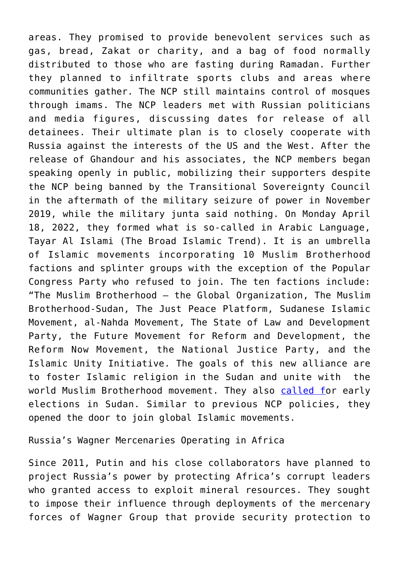areas. They promised to provide benevolent services such as gas, bread, Zakat or charity, and a bag of food normally distributed to those who are fasting during Ramadan. Further they planned to infiltrate sports clubs and areas where communities gather. The NCP still maintains control of mosques through imams. The NCP leaders met with Russian politicians and media figures, discussing dates for release of all detainees. Their ultimate plan is to closely cooperate with Russia against the interests of the US and the West. After the release of Ghandour and his associates, the NCP members began speaking openly in public, mobilizing their supporters despite the NCP being banned by the Transitional Sovereignty Council in the aftermath of the military seizure of power in November 2019, while the military junta said nothing. On Monday April 18, 2022, they formed what is so-called in Arabic Language, Tayar Al Islami (The Broad Islamic Trend). It is an umbrella of Islamic movements incorporating 10 Muslim Brotherhood factions and splinter groups with the exception of the Popular Congress Party who refused to join. The ten factions include: "The Muslim Brotherhood – the Global Organization, The Muslim Brotherhood-Sudan, The Just Peace Platform, Sudanese Islamic Movement, al-Nahda Movement, The State of Law and Development Party, the Future Movement for Reform and Development, the Reform Now Movement, the National Justice Party, and the Islamic Unity Initiative. The goals of this new alliance are to foster Islamic religion in the Sudan and unite with the world Muslim Brotherhood movement. They also [called f](https://altabia.net/2022/04/18/%D8%B9%D8%A7%D8%AC%D9%84-10-%D9%81%D8%B5%D8%A7%D8%A6%D9%84-%D8%A5%D8%B3%D9%84%D8%A7%D9%85%D9%8A%D8%A9-%D8%AA%D9%86%D8%AF%D9%85%D8%AC-%D8%AA%D9%86%D8%B8%D9%8A%D9%85%D9%8A%D8%A7/)or early elections in Sudan. Similar to previous NCP policies, they opened the door to join global Islamic movements.

Russia's Wagner Mercenaries Operating in Africa

Since 2011, Putin and his close collaborators have planned to project Russia's power by protecting Africa's corrupt leaders who granted access to exploit mineral resources. They sought to impose their influence through deployments of the mercenary forces of Wagner Group that provide security protection to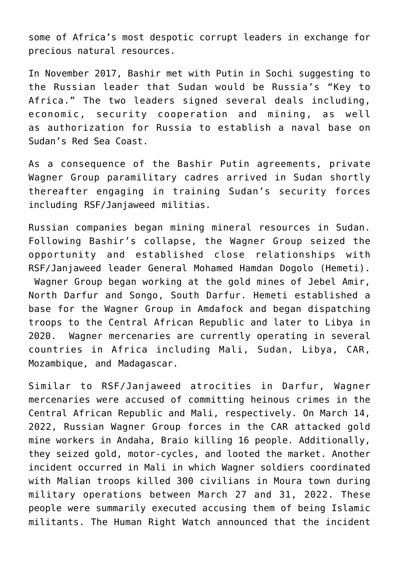some of Africa's most despotic corrupt leaders in exchange for precious natural resources.

In November 2017, Bashir met with Putin in Sochi suggesting to the Russian leader that Sudan would be Russia's "Key to Africa." The two leaders signed several deals including, economic, security cooperation and mining, as well as authorization for Russia to establish a naval base on Sudan's Red Sea Coast.

As a consequence of the Bashir Putin agreements, private Wagner Group paramilitary cadres arrived in Sudan shortly thereafter engaging in training Sudan's security forces including RSF/Janjaweed militias.

Russian companies began mining mineral resources in Sudan. Following Bashir's collapse, the Wagner Group seized the opportunity and established close relationships with RSF/Janjaweed leader General Mohamed Hamdan Dogolo (Hemeti). Wagner Group began working at the gold mines of Jebel Amir, North Darfur and Songo, South Darfur. Hemeti established a base for the Wagner Group in Amdafock and began dispatching troops to the Central African Republic and later to Libya in 2020. Wagner mercenaries are currently operating in several countries in Africa including Mali, Sudan, Libya, CAR, Mozambique, and Madagascar.

Similar to RSF/Janjaweed atrocities in Darfur, Wagner mercenaries were accused of committing heinous crimes in the Central African Republic and Mali, respectively. On March 14, 2022, Russian Wagner Group forces in the CAR attacked gold mine workers in Andaha, Braio killing 16 people. Additionally, they seized gold, motor-cycles, and looted the market. Another incident occurred in Mali in which Wagner soldiers coordinated with Malian troops killed 300 civilians in Moura town during military operations between March 27 and 31, 2022. These people were summarily executed accusing them of being Islamic militants. The Human Right Watch announced that the incident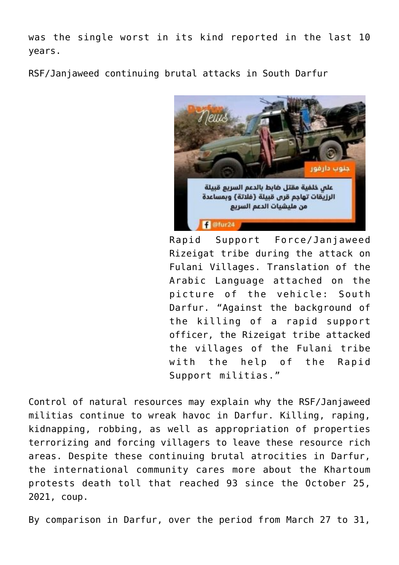was the single worst in its kind reported in the last 10 years.

RSF/Janjaweed continuing brutal attacks in South Darfur



Rapid Support Force/Janjaweed Rizeigat tribe during the attack on Fulani Villages. Translation of the Arabic Language attached on the picture of the vehicle: South Darfur. "Against the background of the killing of a rapid support officer, the Rizeigat tribe attacked the villages of the Fulani tribe with the help of the Rapid Support militias."

Control of natural resources may explain why the RSF/Janjaweed militias continue to wreak havoc in Darfur. Killing, raping, kidnapping, robbing, as well as appropriation of properties terrorizing and forcing villagers to leave these resource rich areas. Despite these continuing brutal atrocities in Darfur, the international community cares more about the Khartoum protests death toll that reached 93 since the October 25, 2021, coup.

By comparison in Darfur, over the period from March 27 to 31,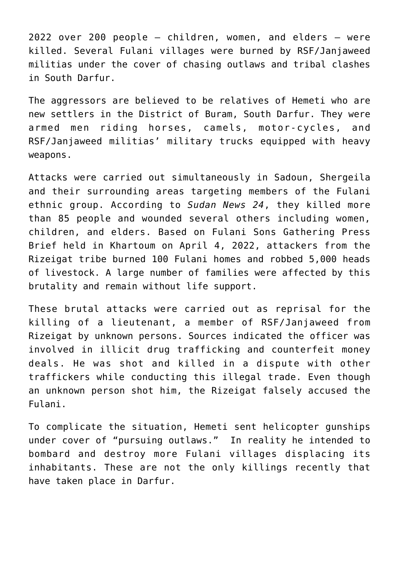2022 over 200 people – children, women, and elders – were killed. Several Fulani villages were burned by RSF/Janjaweed militias under the cover of chasing outlaws and tribal clashes in South Darfur.

The aggressors are believed to be relatives of Hemeti who are new settlers in the District of Buram, South Darfur. They were armed men riding horses, camels, motor-cycles, and RSF/Janjaweed militias' military trucks equipped with heavy weapons.

Attacks were carried out simultaneously in Sadoun, Shergeila and their surrounding areas targeting members of the Fulani ethnic group. According to *Sudan News 24*, they killed more than 85 people and wounded several others including women, children, and elders. Based on Fulani Sons Gathering Press Brief held in Khartoum on April 4, 2022, attackers from the Rizeigat tribe burned 100 Fulani homes and robbed 5,000 heads of livestock. A large number of families were affected by this brutality and remain without life support.

These brutal attacks were carried out as reprisal for the killing of a lieutenant, a member of RSF/Janjaweed from Rizeigat by unknown persons. Sources indicated the officer was involved in illicit drug trafficking and counterfeit money deals. He was shot and killed in a dispute with other traffickers while conducting this illegal trade. Even though an unknown person shot him, the Rizeigat falsely accused the Fulani.

To complicate the situation, Hemeti sent helicopter gunships under cover of "pursuing outlaws." In reality he intended to bombard and destroy more Fulani villages displacing its inhabitants. These are not the only killings recently that have taken place in Darfur.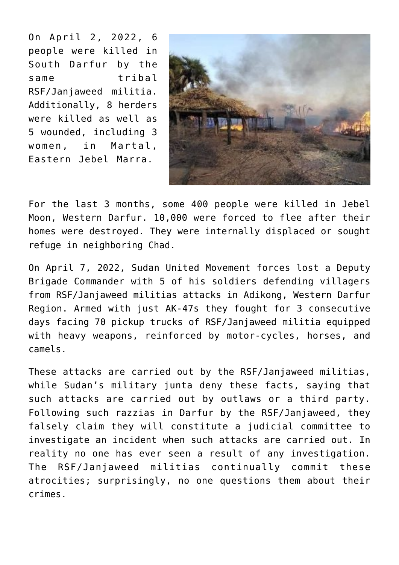On April 2, 2022, 6 people were killed in South Darfur by the same tribal RSF/Janjaweed militia. Additionally, 8 herders were killed as well as 5 wounded, including 3 women, in Martal, Eastern Jebel Marra.



For the last 3 months, some 400 people were killed in Jebel Moon, Western Darfur. 10,000 were forced to flee after their homes were destroyed. They were internally displaced or sought refuge in neighboring Chad.

On April 7, 2022, Sudan United Movement forces lost a Deputy Brigade Commander with 5 of his soldiers defending villagers from RSF/Janjaweed militias attacks in Adikong, Western Darfur Region. Armed with just AK-47s they fought for 3 consecutive days facing 70 pickup trucks of RSF/Janjaweed militia equipped with heavy weapons, reinforced by motor-cycles, horses, and camels.

These attacks are carried out by the RSF/Janjaweed militias, while Sudan's military junta deny these facts, saying that such attacks are carried out by outlaws or a third party. Following such razzias in Darfur by the RSF/Janjaweed, they falsely claim they will constitute a judicial committee to investigate an incident when such attacks are carried out. In reality no one has ever seen a result of any investigation. The RSF/Janjaweed militias continually commit these atrocities; surprisingly, no one questions them about their crimes.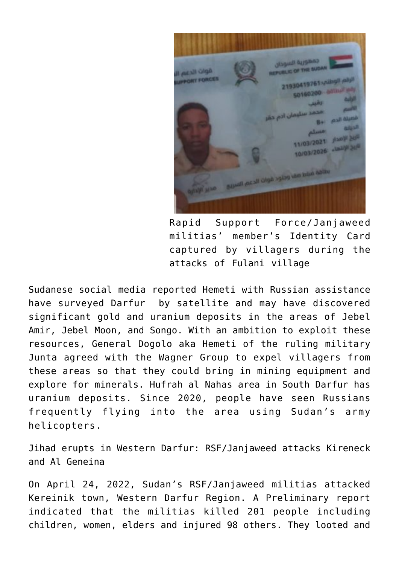**COMPUS ILLINGER** UIC OF THE SUD قوات الدب 1 سليمان اد 1/03/2021 0/03/2026 **Contract on the Clock of the Second Line Contract of the Contract Of the Contract of the Contract Of the Contract of the Contract Of the Contract of the Contract Of the Contract of the Contract of the Contract of The Cont** 

Rapid Support Force/Janjaweed militias' member's Identity Card captured by villagers during the attacks of Fulani village

Sudanese social media reported Hemeti with Russian assistance have surveyed Darfur by satellite and may have discovered significant gold and uranium deposits in the areas of Jebel Amir, Jebel Moon, and Songo. With an ambition to exploit these resources, General Dogolo aka Hemeti of the ruling military Junta agreed with the Wagner Group to expel villagers from these areas so that they could bring in mining equipment and explore for minerals. Hufrah al Nahas area in South Darfur has uranium deposits. Since 2020, people have seen Russians frequently flying into the area using Sudan's army helicopters.

Jihad erupts in Western Darfur: RSF/Janjaweed attacks Kireneck and Al Geneina

On April 24, 2022, Sudan's RSF/Janjaweed militias attacked Kereinik town, Western Darfur Region. A Preliminary report indicated that the militias killed 201 people including children, women, elders and injured 98 others. They looted and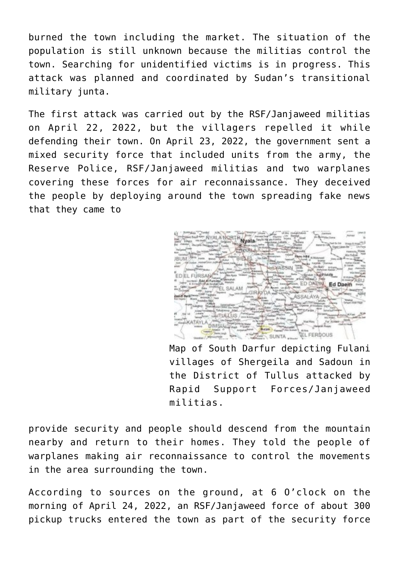burned the town including the market. The situation of the population is still unknown because the militias control the town. Searching for unidentified victims is in progress. This attack was planned and coordinated by Sudan's transitional military junta.

The first attack was carried out by the RSF/Janjaweed militias on April 22, 2022, but the villagers repelled it while defending their town. On April 23, 2022, the government sent a mixed security force that included units from the army, the Reserve Police, RSF/Janjaweed militias and two warplanes covering these forces for air reconnaissance. They deceived the people by deploying around the town spreading fake news that they came to

EUDEAL **FD DAPIN** EL SALAM **EL FERDOUS** SUNTA ....

Map of South Darfur depicting Fulani villages of Shergeila and Sadoun in the District of Tullus attacked by Rapid Support Forces/Janjaweed militias.

provide security and people should descend from the mountain nearby and return to their homes. They told the people of warplanes making air reconnaissance to control the movements in the area surrounding the town.

According to sources on the ground, at 6 O'clock on the morning of April 24, 2022, an RSF/Janjaweed force of about 300 pickup trucks entered the town as part of the security force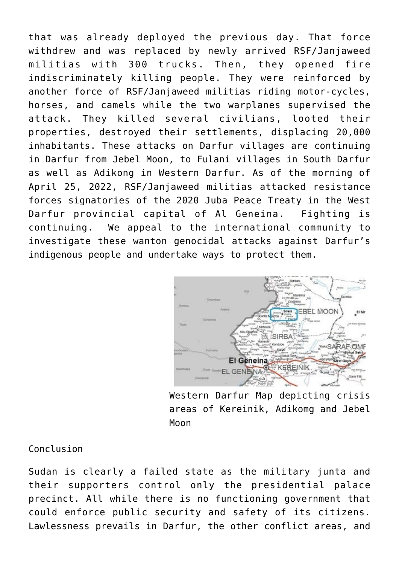that was already deployed the previous day. That force withdrew and was replaced by newly arrived RSF/Janjaweed militias with 300 trucks. Then, they opened fire indiscriminately killing people. They were reinforced by another force of RSF/Janjaweed militias riding motor-cycles, horses, and camels while the two warplanes supervised the attack. They killed several civilians, looted their properties, destroyed their settlements, displacing 20,000 inhabitants. These attacks on Darfur villages are continuing in Darfur from Jebel Moon, to Fulani villages in South Darfur as well as Adikong in Western Darfur. As of the morning of April 25, 2022, RSF/Janjaweed militias attacked resistance forces signatories of the 2020 Juba Peace Treaty in the West Darfur provincial capital of Al Geneina. Fighting is continuing. We appeal to the international community to investigate these wanton genocidal attacks against Darfur's indigenous people and undertake ways to protect them.



Western Darfur Map depicting crisis areas of Kereinik, Adikomg and Jebel Moon

Conclusion

Sudan is clearly a failed state as the military junta and their supporters control only the presidential palace precinct. All while there is no functioning government that could enforce public security and safety of its citizens. Lawlessness prevails in Darfur, the other conflict areas, and